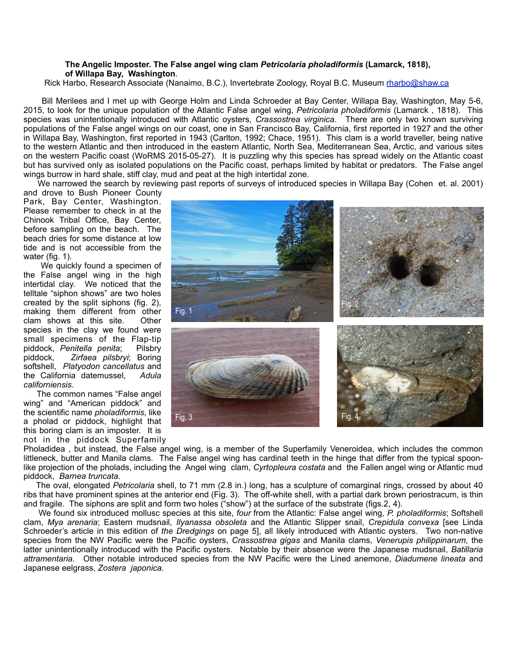## **The Angelic Imposter. The False angel wing clam** *Petricolaria pholadiformis* **(Lamarck, 1818), of Willapa Bay, Washington**.

Rick Harbo, Research Associate (Nanaimo, B.C.), Invertebrate Zoology, Royal B.C. Museum [rharbo@shaw.ca](mailto:rharbo@shaw.ca)

 Bill Merilees and I met up with George Holm and Linda Schroeder at Bay Center, Willapa Bay, Washington, May 5-6, 2015, to look for the unique population of the Atlantic False angel wing, *Petricolaria pholadiformis* (Lamarck , 1818). This species was unintentionally introduced with Atlantic oysters, *Crassostrea virginica*. There are only two known surviving populations of the False angel wings on our coast, one in San Francisco Bay, California, first reported in 1927 and the other in Willapa Bay, Washington, first reported in 1943 (Carlton, 1992; Chace, 1951). This clam is a world traveller, being native to the western Atlantic and then introduced in the eastern Atlantic, North Sea, Mediterranean Sea, Arctic, and various sites on the western Pacific coast (WoRMS 2015-05-27). It is puzzling why this species has spread widely on the Atlantic coast but has survived only as isolated populations on the Pacific coast, perhaps limited by habitat or predators. The False angel wings burrow in hard shale, stiff clay, mud and peat at the high intertidal zone.

We narrowed the search by reviewing past reports of surveys of introduced species in Willapa Bay (Cohen et. al. 2001)

and drove to Bush Pioneer County Park, Bay Center, Washington. Please remember to check in at the Chinook Tribal Office, Bay Center, before sampling on the beach. The beach dries for some distance at low tide and is not accessible from the water (fig. 1).

 We quickly found a specimen of the False angel wing in the high intertidal clay. We noticed that the telltale "siphon shows" are two holes created by the split siphons (fig. 2), making them different from other clam shows at this site. Other species in the clay we found were small specimens of the Flap-tip piddock, *Penitella penita*; Pilsbry piddock, *Zirfaea pilsbryi*; Boring softshell, *Platyodon cancellatus* and the California datemussel, *Adula californiensis*.

 The common names "False angel wing" and "American piddock" and the scientific name *pholadiformis*, like a pholad or piddock, highlight that this boring clam is an imposter. It is

not in the piddock Superfamily

Fig. 1 Fig. 2  $\frac{1}{2}$  Fig. 2 Fig. 3 **Fig. 4** Fig. 4

Pholadidea , but instead, the False angel wing, is a member of the Superfamily Veneroidea, which includes the common littleneck, butter and Manila clams. The False angel wing has cardinal teeth in the hinge that differ from the typical spoonlike projection of the pholads, including the Angel wing clam, *Cyrtopleura costata* and the Fallen angel wing or Atlantic mud piddock, *Barnea truncata.*

 The oval, elongated *Petricolaria* shell, to 71 mm (2.8 in.) long, has a sculpture of comarginal rings, crossed by about 40 ribs that have prominent spines at the anterior end (Fig. 3). The off-white shell, with a partial dark brown periostracum, is thin and fragile. The siphons are split and form two holes ("show") at the surface of the substrate (figs.2, 4).

 We found six introduced mollusc species at this site, *four* from the Atlantic: False angel wing, *P. pholadiformis*; Softshell clam, *Mya arenaria*; Eastern mudsnail, *Ilyanassa obsoleta* and the Atlantic Slipper snail, *Crepidula convexa* [see Linda Schroeder's article in this edition of *the Dredgings* on page 5], all likely introduced with Atlantic oysters. Two non-native species from the NW Pacific were the Pacific oysters, *Crassostrea gigas* and Manila clams, *Venerupis philippinarum*, the latter unintentionally introduced with the Pacific oysters. Notable by their absence were the Japanese mudsnail, *Batillaria attramentaria.* Other notable introduced species from the NW Pacific were the Lined anemone, *Diadumene lineata* and Japanese eelgrass, *Zostera japonica.*